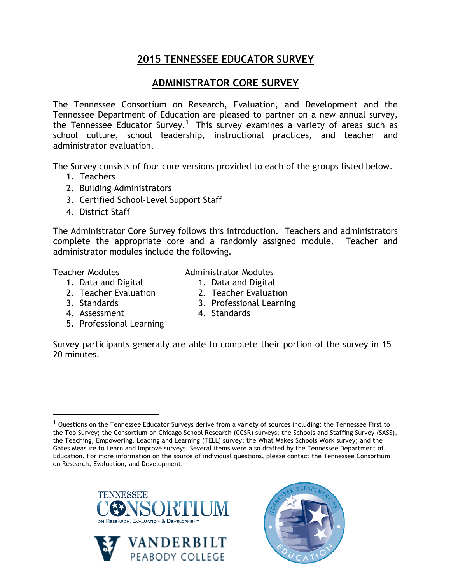# **2015 TENNESSEE EDUCATOR SURVEY**

# **ADMINISTRATOR CORE SURVEY**

The Tennessee Consortium on Research, Evaluation, and Development and the Tennessee Department of Education are pleased to partner on a new annual survey, the Tennessee Educator Survey.<sup>1</sup> This survey examines a variety of areas such as school culture, school leadership, instructional practices, and teacher and administrator evaluation.

The Survey consists of four core versions provided to each of the groups listed below.

- 1. Teachers
- 2. Building Administrators
- 3. Certified School-Level Support Staff
- 4. District Staff

The Administrator Core Survey follows this introduction. Teachers and administrators complete the appropriate core and a randomly assigned module. Teacher and administrator modules include the following.

### Teacher Modules

1. Data and Digital

!!!!!!!!!!!!!!!!!!!!!!!!!!!!!!!!!!!!!!!!!!!!!!!!!!!!!!!

- 2. Teacher Evaluation
- 3. Standards

2. Teacher Evaluation

Administrator Modules 1. Data and Digital

- 3. Professional Learning
- 4. Assessment 5. Professional Learning
- 4. Standards

Survey participants generally are able to complete their portion of the survey in 15 – 20 minutes.

 $1$  Questions on the Tennessee Educator Surveys derive from a variety of sources including: the Tennessee First to the Top Survey; the Consortium on Chicago School Research (CCSR) surveys; the Schools and Staffing Survey (SASS), the Teaching, Empowering, Leading and Learning (TELL) survey; the What Makes Schools Work survey; and the Gates Measure to Learn and Improve surveys. Several items were also drafted by the Tennessee Department of Education. For more information on the source of individual questions, please contact the Tennessee Consortium on Research, Evaluation, and Development.





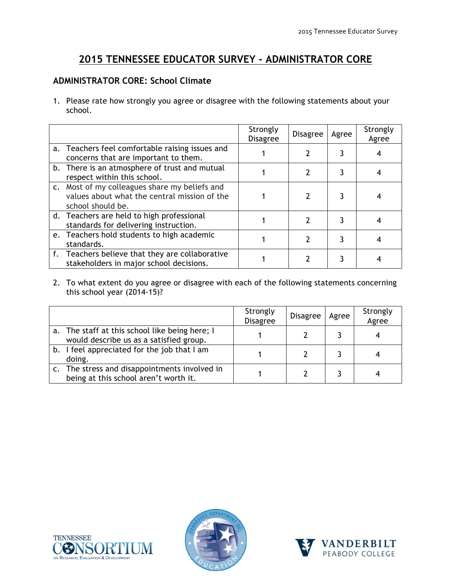## **2015 TENNESSEE EDUCATOR SURVEY - ADMINISTRATOR CORE**

### **ADMINISTRATOR CORE: School Climate**

1. Please rate how strongly you agree or disagree with the following statements about your school.

|                                                                                                                    | Strongly<br><b>Disagree</b> | <b>Disagree</b> | Agree | Strongly<br>Agree |
|--------------------------------------------------------------------------------------------------------------------|-----------------------------|-----------------|-------|-------------------|
| a. Teachers feel comfortable raising issues and<br>concerns that are important to them.                            |                             |                 |       |                   |
| b. There is an atmosphere of trust and mutual<br>respect within this school.                                       |                             |                 |       |                   |
| c. Most of my colleagues share my beliefs and<br>values about what the central mission of the<br>school should be. |                             |                 |       |                   |
| d. Teachers are held to high professional<br>standards for delivering instruction.                                 |                             |                 |       |                   |
| e. Teachers hold students to high academic<br>standards.                                                           |                             |                 |       |                   |
| f. Teachers believe that they are collaborative<br>stakeholders in major school decisions.                         |                             |                 |       |                   |

2. To what extent do you agree or disagree with each of the following statements concerning this school year (2014-15)?

|                                                                                           | Strongly<br><b>Disagree</b> | <b>Disagree</b> | Agree | Strongly<br>Agree |
|-------------------------------------------------------------------------------------------|-----------------------------|-----------------|-------|-------------------|
| a. The staff at this school like being here; I<br>would describe us as a satisfied group. |                             |                 |       |                   |
| b. I feel appreciated for the job that I am<br>doing.                                     |                             |                 |       |                   |
| c. The stress and disappointments involved in<br>being at this school aren't worth it.    |                             |                 |       |                   |





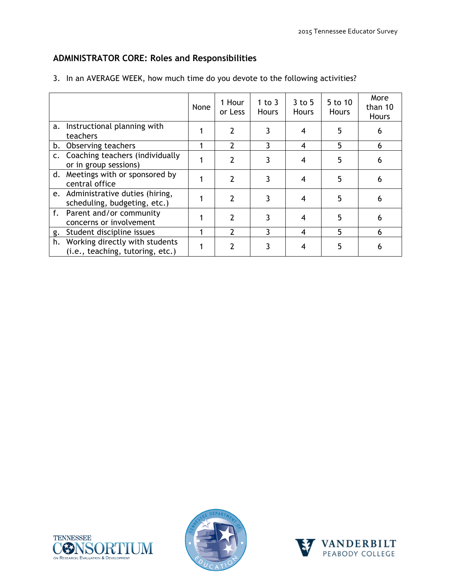### **ADMINISTRATOR CORE: Roles and Responsibilities**

|    |                                                                       | None | 1 Hour<br>or Less        | 1 to $3$<br><b>Hours</b> | $3$ to $5$<br><b>Hours</b> | 5 to 10<br><b>Hours</b> | More<br>than 10<br>Hours |
|----|-----------------------------------------------------------------------|------|--------------------------|--------------------------|----------------------------|-------------------------|--------------------------|
|    | a. Instructional planning with<br>teachers                            |      | $\mathcal{P}$            | 3                        |                            | 5                       |                          |
|    | b. Observing teachers                                                 |      | $\mathcal{P}$            | ζ                        | $\overline{4}$             | 5                       | 6                        |
|    | c. Coaching teachers (individually<br>or in group sessions)           |      | 2                        | 3                        |                            | 5                       | 6                        |
|    | d. Meetings with or sponsored by<br>central office                    |      | 2                        | 3                        |                            | 5                       | 6                        |
|    | e. Administrative duties (hiring,<br>scheduling, budgeting, etc.)     |      | $\overline{\phantom{a}}$ | 3                        |                            | 5                       | 6                        |
|    | f. Parent and/or community<br>concerns or involvement                 |      | 2                        | 3                        |                            | 5                       | 6                        |
| g. | Student discipline issues                                             |      |                          | 3                        | $\overline{4}$             | 5                       | 6                        |
|    | h. Working directly with students<br>(i.e., teaching, tutoring, etc.) |      |                          |                          |                            | 5                       | 6                        |

3. In an AVERAGE WEEK, how much time do you devote to the following activities?





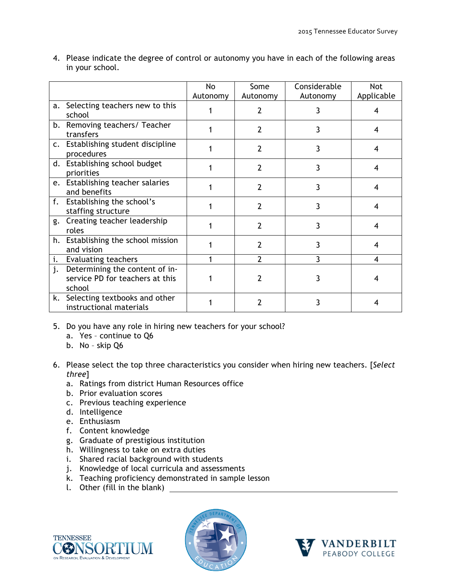|    |                                                                             | No       | Some           | Considerable | Not        |
|----|-----------------------------------------------------------------------------|----------|----------------|--------------|------------|
|    |                                                                             | Autonomy | Autonomy       | Autonomy     | Applicable |
|    | a. Selecting teachers new to this<br>school                                 |          |                | 3            | 4          |
|    | b. Removing teachers/ Teacher<br>transfers                                  |          | $\overline{2}$ | 3            | 4          |
|    | c. Establishing student discipline<br>procedures                            |          | 2              | 3            | 4          |
|    | d. Establishing school budget<br>priorities                                 |          | 2              | 3            | 4          |
|    | e. Establishing teacher salaries<br>and benefits                            |          | $\overline{2}$ | 3            | 4          |
|    | f. Establishing the school's<br>staffing structure                          |          | $\overline{2}$ | 3            | 4          |
| g. | Creating teacher leadership<br>roles                                        |          | $\overline{2}$ | 3            | 4          |
|    | h. Establishing the school mission<br>and vision                            |          | 2              | 3            | 4          |
| i. | <b>Evaluating teachers</b>                                                  |          | 2              | 3            | 4          |
| j. | Determining the content of in-<br>service PD for teachers at this<br>school |          | 7              | 3            | 4          |
|    | k. Selecting textbooks and other<br>instructional materials                 |          | 2              | 3            |            |

4. Please indicate the degree of control or autonomy you have in each of the following areas in your school.

- 5. Do you have any role in hiring new teachers for your school?
	- a. Yes continue to Q6
	- b. No skip Q6
- 6. Please select the top three characteristics you consider when hiring new teachers. [*Select three*]
	- a. Ratings from district Human Resources office
	- b. Prior evaluation scores
	- c. Previous teaching experience
	- d. Intelligence
	- e. Enthusiasm
	- f. Content knowledge
	- g. Graduate of prestigious institution
	- h. Willingness to take on extra duties
	- i. Shared racial background with students
	- j. Knowledge of local curricula and assessments
	- k. Teaching proficiency demonstrated in sample lesson
	- l. Other (fill in the blank)





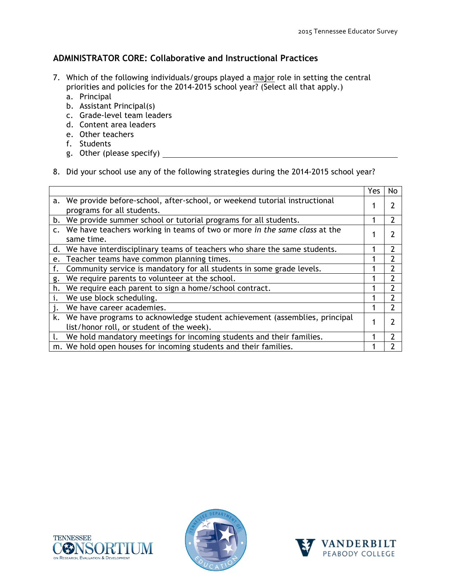#### **ADMINISTRATOR CORE: Collaborative and Instructional Practices**

- 7. Which of the following individuals/groups played a major role in setting the central priorities and policies for the 2014-2015 school year? (Select all that apply.)
	- a. Principal
	- b. Assistant Principal(s)
	- c. Grade-level team leaders
	- d. Content area leaders
	- e. Other teachers
	- f. Students
	- g. Other (please specify)
- 8. Did your school use any of the following strategies during the 2014-2015 school year?

|    |                                                                                                                            | Yes | No |
|----|----------------------------------------------------------------------------------------------------------------------------|-----|----|
|    | a. We provide before-school, after-school, or weekend tutorial instructional<br>programs for all students.                 |     |    |
|    | b. We provide summer school or tutorial programs for all students.                                                         |     |    |
|    | c. We have teachers working in teams of two or more in the same class at the<br>same time.                                 |     |    |
|    | d. We have interdisciplinary teams of teachers who share the same students.                                                |     |    |
| e. | Teacher teams have common planning times.                                                                                  |     |    |
| f. | Community service is mandatory for all students in some grade levels.                                                      |     |    |
| g. | We require parents to volunteer at the school.                                                                             |     |    |
| h. | We require each parent to sign a home/school contract.                                                                     |     |    |
| i. | We use block scheduling.                                                                                                   |     |    |
| j. | We have career academies.                                                                                                  |     |    |
|    | k. We have programs to acknowledge student achievement (assemblies, principal<br>list/honor roll, or student of the week). |     |    |
| t. | We hold mandatory meetings for incoming students and their families.                                                       |     |    |
|    |                                                                                                                            |     |    |
|    | m. We hold open houses for incoming students and their families.                                                           |     |    |





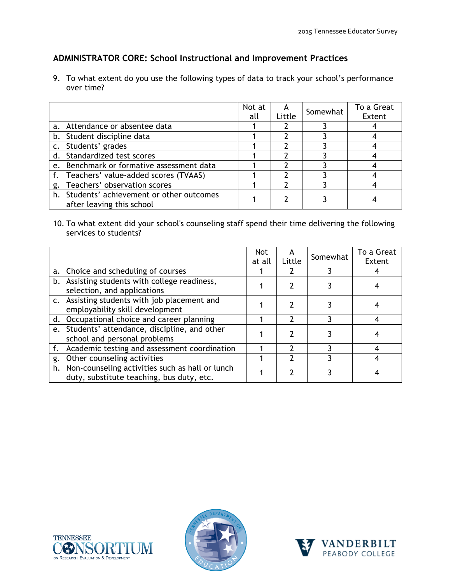### **ADMINISTRATOR CORE: School Instructional and Improvement Practices**

9. To what extent do you use the following types of data to track your school's performance over time?

|                                                                         | Not at<br>all | Little | Somewhat | To a Great<br>Extent |
|-------------------------------------------------------------------------|---------------|--------|----------|----------------------|
| a. Attendance or absentee data                                          |               |        |          |                      |
| b. Student discipline data                                              |               |        |          |                      |
| c. Students' grades                                                     |               |        |          |                      |
| d. Standardized test scores                                             |               |        |          |                      |
| e. Benchmark or formative assessment data                               |               |        |          |                      |
| f. Teachers' value-added scores (TVAAS)                                 |               |        |          |                      |
| g. Teachers' observation scores                                         |               |        |          |                      |
| h. Students' achievement or other outcomes<br>after leaving this school |               |        |          |                      |

10. To what extent did your school's counseling staff spend their time delivering the following services to students?

|                                                                                                 | <b>Not</b><br>at all | A<br>Little | Somewhat | To a Great<br>Extent |
|-------------------------------------------------------------------------------------------------|----------------------|-------------|----------|----------------------|
| a. Choice and scheduling of courses                                                             |                      |             |          |                      |
| b. Assisting students with college readiness,<br>selection, and applications                    |                      |             |          |                      |
| c. Assisting students with job placement and<br>employability skill development                 |                      |             |          |                      |
| d. Occupational choice and career planning                                                      |                      |             |          |                      |
| e. Students' attendance, discipline, and other<br>school and personal problems                  |                      |             |          |                      |
| f. Academic testing and assessment coordination                                                 |                      |             |          |                      |
| g. Other counseling activities                                                                  |                      |             |          |                      |
| h. Non-counseling activities such as hall or lunch<br>duty, substitute teaching, bus duty, etc. |                      |             |          |                      |





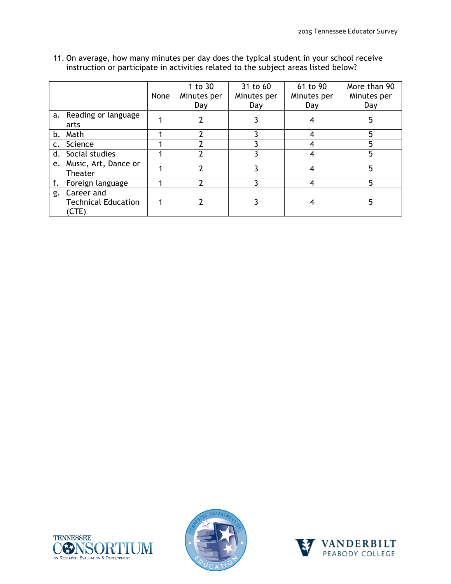|    |                                                   | None | 1 to $30$<br>Minutes per<br>Day | 31 to 60<br>Minutes per<br>Day | 61 to 90<br>Minutes per<br>Day | More than 90<br>Minutes per<br>Day |
|----|---------------------------------------------------|------|---------------------------------|--------------------------------|--------------------------------|------------------------------------|
|    | a. Reading or language<br>arts                    |      |                                 |                                |                                | 5                                  |
| b. | Math                                              |      | ำ                               |                                |                                | 5                                  |
|    | Science                                           |      |                                 |                                |                                |                                    |
|    | d. Social studies                                 |      |                                 |                                |                                |                                    |
| e. | Music, Art, Dance or<br>Theater                   |      |                                 |                                |                                |                                    |
|    | Foreign language                                  |      |                                 |                                |                                | 5                                  |
| g. | Career and<br><b>Technical Education</b><br>(CTE) |      |                                 |                                |                                |                                    |

11. On average, how many minutes per day does the typical student in your school receive instruction or participate in activities related to the subject areas listed below?





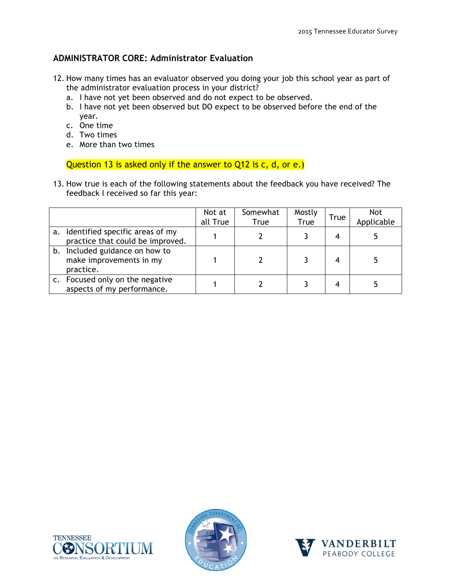### **ADMINISTRATOR CORE: Administrator Evaluation**

- 12. How many times has an evaluator observed you doing your job this school year as part of the administrator evaluation process in your district?
	- a. I have not yet been observed and do not expect to be observed.
	- b. I have not yet been observed but DO expect to be observed before the end of the year.
	- c. One time
	- d. Two times
	- e. More than two times

Question 13 is asked only if the answer to Q12 is c, d, or e.)

13. How true is each of the following statements about the feedback you have received? The feedback I received so far this year:

|                                                                        | Not at<br>all True | Somewhat<br><b>True</b> | Mostly<br>True | <b>True</b> | <b>Not</b><br>Applicable |
|------------------------------------------------------------------------|--------------------|-------------------------|----------------|-------------|--------------------------|
| a. Identified specific areas of my<br>practice that could be improved. |                    |                         |                |             |                          |
| b. Included guidance on how to<br>make improvements in my<br>practice. |                    |                         |                |             |                          |
| c. Focused only on the negative<br>aspects of my performance.          |                    |                         |                |             |                          |





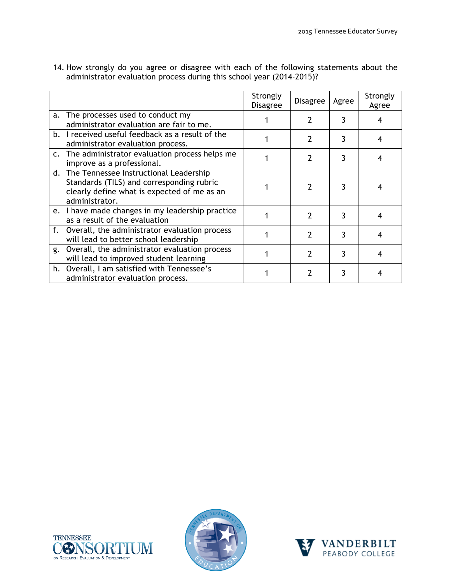|    |                                                                                                                                                         | Strongly<br><b>Disagree</b> | <b>Disagree</b> | Agree | Strongly<br>Agree |
|----|---------------------------------------------------------------------------------------------------------------------------------------------------------|-----------------------------|-----------------|-------|-------------------|
|    | a. The processes used to conduct my<br>administrator evaluation are fair to me.                                                                         |                             |                 | 3     |                   |
|    | b. I received useful feedback as a result of the<br>administrator evaluation process.                                                                   |                             |                 | 3     |                   |
|    | c. The administrator evaluation process helps me<br>improve as a professional.                                                                          |                             | 7               | 3     |                   |
|    | d. The Tennessee Instructional Leadership<br>Standards (TILS) and corresponding rubric<br>clearly define what is expected of me as an<br>administrator. |                             |                 | 3     |                   |
|    | e. I have made changes in my leadership practice<br>as a result of the evaluation                                                                       |                             | 2               | 3     |                   |
|    | f. Overall, the administrator evaluation process<br>will lead to better school leadership                                                               |                             | 7               | 3     |                   |
| g. | Overall, the administrator evaluation process<br>will lead to improved student learning                                                                 |                             |                 | 3     |                   |
|    | h. Overall, I am satisfied with Tennessee's<br>administrator evaluation process.                                                                        |                             |                 | 3     |                   |

14. How strongly do you agree or disagree with each of the following statements about the administrator evaluation process during this school year (2014-2015)?





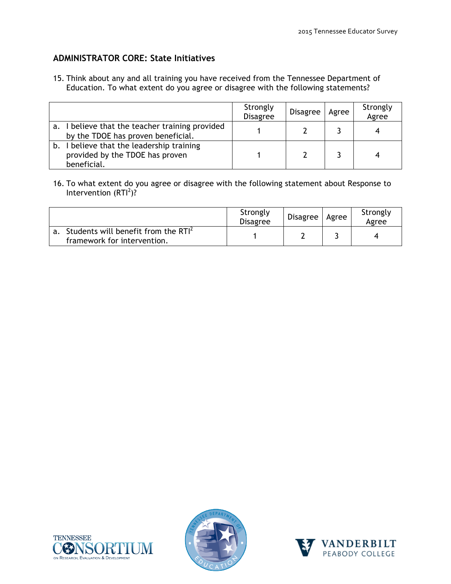### **ADMINISTRATOR CORE: State Initiatives**

15. Think about any and all training you have received from the Tennessee Department of Education. To what extent do you agree or disagree with the following statements?

|    |                                                                                          | Strongly<br><b>Disagree</b> | <b>Disagree</b> | Agree | Strongly<br>Agree |
|----|------------------------------------------------------------------------------------------|-----------------------------|-----------------|-------|-------------------|
| а. | believe that the teacher training provided<br>by the TDOE has proven beneficial.         |                             |                 |       |                   |
| b. | I believe that the leadership training<br>provided by the TDOE has proven<br>beneficial. |                             |                 |       |                   |

16. To what extent do you agree or disagree with the following statement about Response to Intervention  $(RTI^2)$ ?

|                                                                                   | Strongly<br><b>Disagree</b> | <b>Disagree</b> | l Agree | Strongly<br>Agree |
|-----------------------------------------------------------------------------------|-----------------------------|-----------------|---------|-------------------|
| a. Students will benefit from the RTI <sup>2</sup><br>framework for intervention. |                             |                 |         |                   |